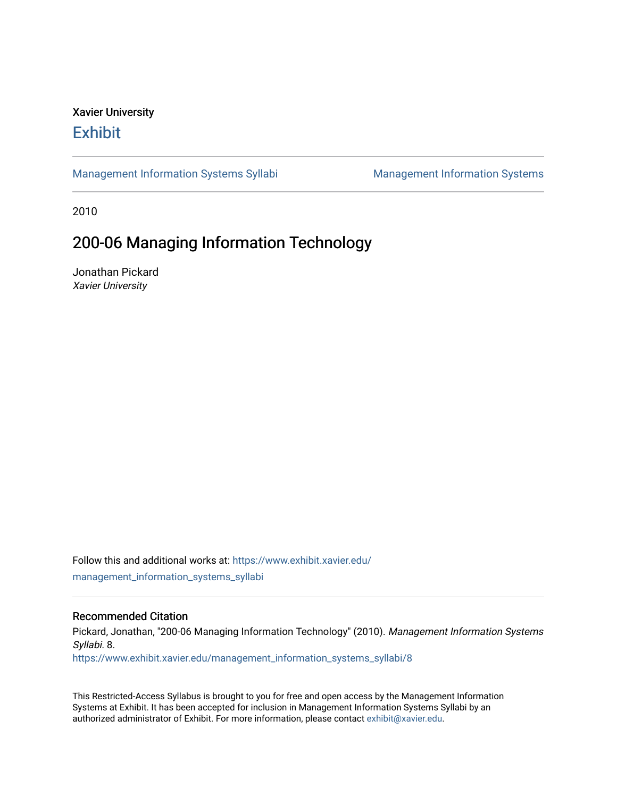## Xavier University **Exhibit**

[Management Information Systems Syllabi](https://www.exhibit.xavier.edu/management_information_systems_syllabi) Management Information Systems

2010

# 200-06 Managing Information Technology

Jonathan Pickard Xavier University

Follow this and additional works at: [https://www.exhibit.xavier.edu/](https://www.exhibit.xavier.edu/management_information_systems_syllabi?utm_source=www.exhibit.xavier.edu%2Fmanagement_information_systems_syllabi%2F8&utm_medium=PDF&utm_campaign=PDFCoverPages) [management\\_information\\_systems\\_syllabi](https://www.exhibit.xavier.edu/management_information_systems_syllabi?utm_source=www.exhibit.xavier.edu%2Fmanagement_information_systems_syllabi%2F8&utm_medium=PDF&utm_campaign=PDFCoverPages) 

#### Recommended Citation

Pickard, Jonathan, "200-06 Managing Information Technology" (2010). Management Information Systems Syllabi. 8. [https://www.exhibit.xavier.edu/management\\_information\\_systems\\_syllabi/8](https://www.exhibit.xavier.edu/management_information_systems_syllabi/8?utm_source=www.exhibit.xavier.edu%2Fmanagement_information_systems_syllabi%2F8&utm_medium=PDF&utm_campaign=PDFCoverPages) 

This Restricted-Access Syllabus is brought to you for free and open access by the Management Information Systems at Exhibit. It has been accepted for inclusion in Management Information Systems Syllabi by an authorized administrator of Exhibit. For more information, please contact [exhibit@xavier.edu](mailto:exhibit@xavier.edu).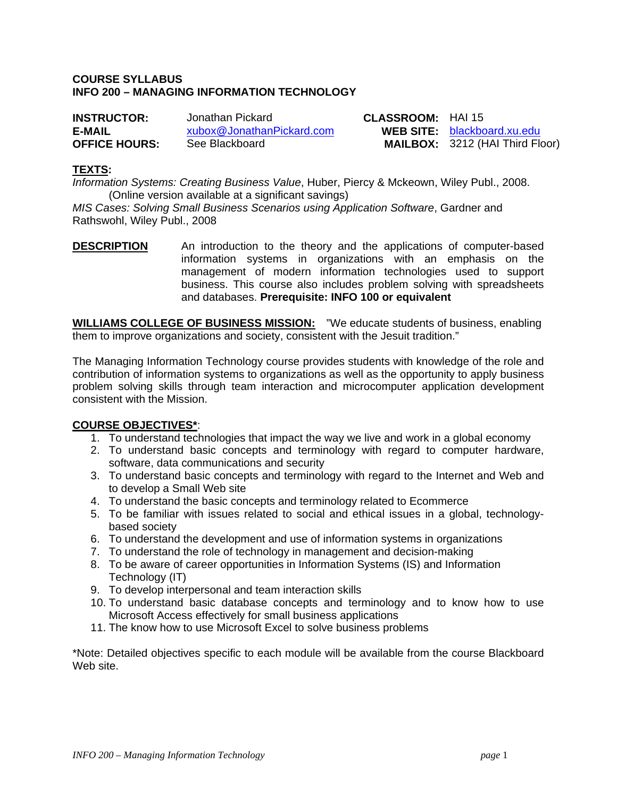### **COURSE SYLLABUS INFO 200 – MANAGING INFORMATION TECHNOLOGY**

| <b>INSTRUCTOR:</b>   | Jonathan Pickard          | <b>CLASSROOM: HAI15</b> |                                        |
|----------------------|---------------------------|-------------------------|----------------------------------------|
| E-MAIL               | xubox@JonathanPickard.com |                         | <b>WEB SITE:</b> blackboard.xu.edu     |
| <b>OFFICE HOURS:</b> | See Blackboard            |                         | <b>MAILBOX: 3212 (HAI Third Floor)</b> |

#### **TEXTS:**

*Information Systems: Creating Business Value*, Huber, Piercy & Mckeown, Wiley Publ., 2008. (Online version available at a significant savings)

*MIS Cases: Solving Small Business Scenarios using Application Software*, Gardner and Rathswohl, Wiley Publ., 2008

**DESCRIPTION** An introduction to the theory and the applications of computer-based information systems in organizations with an emphasis on the management of modern information technologies used to support business. This course also includes problem solving with spreadsheets and databases. **Prerequisite: INFO 100 or equivalent** 

**WILLIAMS COLLEGE OF BUSINESS MISSION:** "We educate students of business, enabling them to improve organizations and society, consistent with the Jesuit tradition."

The Managing Information Technology course provides students with knowledge of the role and contribution of information systems to organizations as well as the opportunity to apply business problem solving skills through team interaction and microcomputer application development consistent with the Mission.

#### **COURSE OBJECTIVES\***:

- 1. To understand technologies that impact the way we live and work in a global economy
- 2. To understand basic concepts and terminology with regard to computer hardware, software, data communications and security
- 3. To understand basic concepts and terminology with regard to the Internet and Web and to develop a Small Web site
- 4. To understand the basic concepts and terminology related to Ecommerce
- 5. To be familiar with issues related to social and ethical issues in a global, technologybased society
- 6. To understand the development and use of information systems in organizations
- 7. To understand the role of technology in management and decision-making
- 8. To be aware of career opportunities in Information Systems (IS) and Information Technology (IT)
- 9. To develop interpersonal and team interaction skills
- 10. To understand basic database concepts and terminology and to know how to use Microsoft Access effectively for small business applications
- 11. The know how to use Microsoft Excel to solve business problems

\*Note: Detailed objectives specific to each module will be available from the course Blackboard Web site.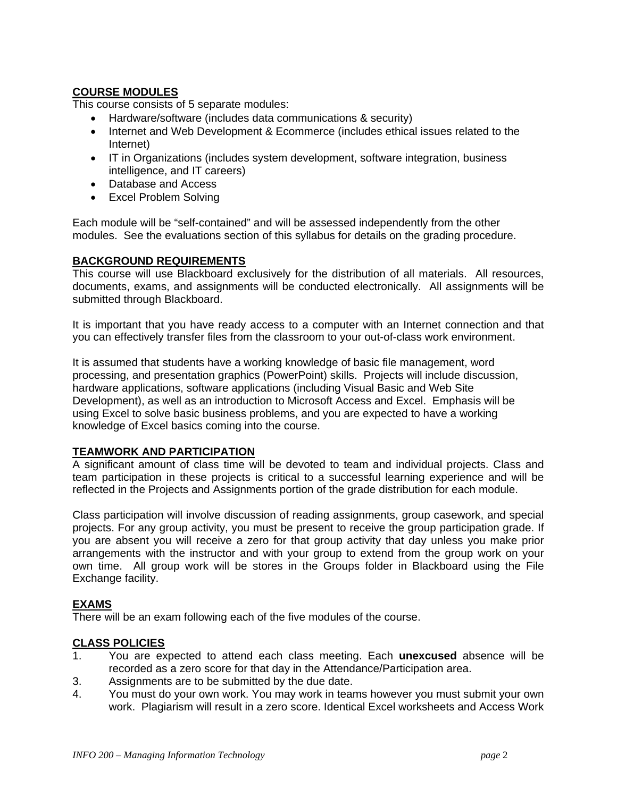## **COURSE MODULES**

This course consists of 5 separate modules:

- Hardware/software (includes data communications & security)
- Internet and Web Development & Ecommerce (includes ethical issues related to the Internet)
- IT in Organizations (includes system development, software integration, business intelligence, and IT careers)
- Database and Access
- Excel Problem Solving

Each module will be "self-contained" and will be assessed independently from the other modules. See the evaluations section of this syllabus for details on the grading procedure.

## **BACKGROUND REQUIREMENTS**

This course will use Blackboard exclusively for the distribution of all materials. All resources, documents, exams, and assignments will be conducted electronically. All assignments will be submitted through Blackboard.

It is important that you have ready access to a computer with an Internet connection and that you can effectively transfer files from the classroom to your out-of-class work environment.

It is assumed that students have a working knowledge of basic file management, word processing, and presentation graphics (PowerPoint) skills. Projects will include discussion, hardware applications, software applications (including Visual Basic and Web Site Development), as well as an introduction to Microsoft Access and Excel. Emphasis will be using Excel to solve basic business problems, and you are expected to have a working knowledge of Excel basics coming into the course.

## **TEAMWORK AND PARTICIPATION**

A significant amount of class time will be devoted to team and individual projects. Class and team participation in these projects is critical to a successful learning experience and will be reflected in the Projects and Assignments portion of the grade distribution for each module.

Class participation will involve discussion of reading assignments, group casework, and special projects. For any group activity, you must be present to receive the group participation grade. If you are absent you will receive a zero for that group activity that day unless you make prior arrangements with the instructor and with your group to extend from the group work on your own time. All group work will be stores in the Groups folder in Blackboard using the File Exchange facility.

## **EXAMS**

There will be an exam following each of the five modules of the course.

## **CLASS POLICIES**

- 1. You are expected to attend each class meeting. Each **unexcused** absence will be recorded as a zero score for that day in the Attendance/Participation area.
- 3. Assignments are to be submitted by the due date.
- 4. You must do your own work. You may work in teams however you must submit your own work. Plagiarism will result in a zero score. Identical Excel worksheets and Access Work